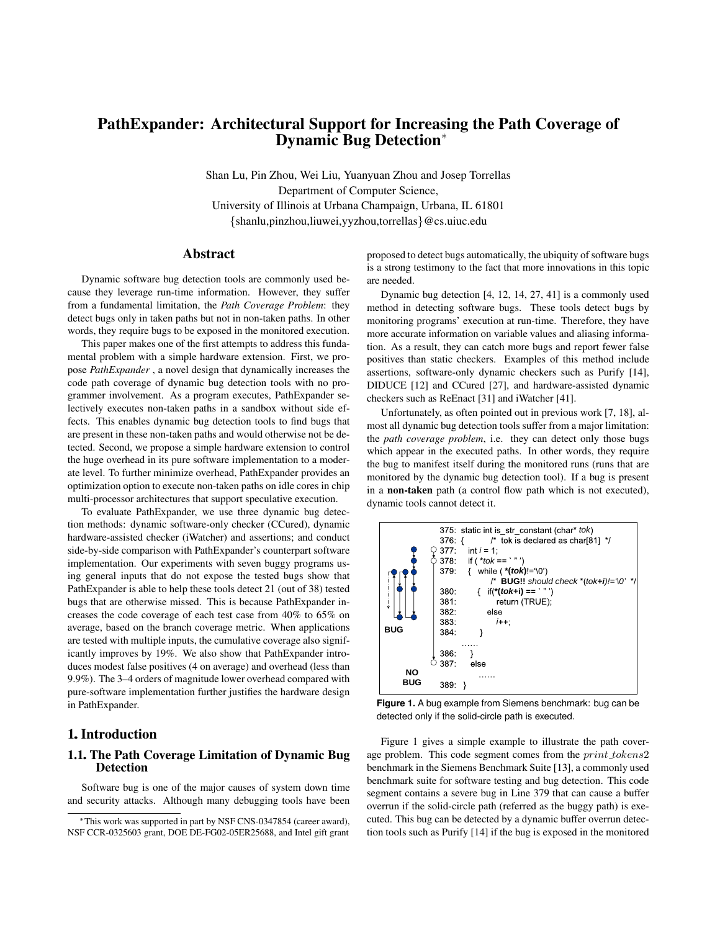# PathExpander: Architectural Support for Increasing the Path Coverage of Dynamic Bug Detection∗

Shan Lu, Pin Zhou, Wei Liu, Yuanyuan Zhou and Josep Torrellas Department of Computer Science, University of Illinois at Urbana Champaign, Urbana, IL 61801 {shanlu,pinzhou,liuwei,yyzhou,torrellas}@cs.uiuc.edu

## Abstract

Dynamic software bug detection tools are commonly used because they leverage run-time information. However, they suffer from a fundamental limitation, the *Path Coverage Problem*: they detect bugs only in taken paths but not in non-taken paths. In other words, they require bugs to be exposed in the monitored execution.

This paper makes one of the first attempts to address this fundamental problem with a simple hardware extension. First, we propose *PathExpander* , a novel design that dynamically increases the code path coverage of dynamic bug detection tools with no programmer involvement. As a program executes, PathExpander selectively executes non-taken paths in a sandbox without side effects. This enables dynamic bug detection tools to find bugs that are present in these non-taken paths and would otherwise not be detected. Second, we propose a simple hardware extension to control the huge overhead in its pure software implementation to a moderate level. To further minimize overhead, PathExpander provides an optimization option to execute non-taken paths on idle cores in chip multi-processor architectures that support speculative execution.

To evaluate PathExpander, we use three dynamic bug detection methods: dynamic software-only checker (CCured), dynamic hardware-assisted checker (iWatcher) and assertions; and conduct side-by-side comparison with PathExpander's counterpart software implementation. Our experiments with seven buggy programs using general inputs that do not expose the tested bugs show that PathExpander is able to help these tools detect 21 (out of 38) tested bugs that are otherwise missed. This is because PathExpander increases the code coverage of each test case from 40% to 65% on average, based on the branch coverage metric. When applications are tested with multiple inputs, the cumulative coverage also significantly improves by 19%. We also show that PathExpander introduces modest false positives (4 on average) and overhead (less than 9.9%). The 3–4 orders of magnitude lower overhead compared with pure-software implementation further justifies the hardware design in PathExpander.

# 1.Introduction

# 1.1. The Path Coverage Limitation of Dynamic Bug Detection

Software bug is one of the major causes of system down time and security attacks. Although many debugging tools have been

proposed to detect bugs automatically, the ubiquity of software bugs is a strong testimony to the fact that more innovations in this topic are needed.

Dynamic bug detection [4, 12, 14, 27, 41] is a commonly used method in detecting software bugs. These tools detect bugs by monitoring programs' execution at run-time. Therefore, they have more accurate information on variable values and aliasing information. As a result, they can catch more bugs and report fewer false positives than static checkers. Examples of this method include assertions, software-only dynamic checkers such as Purify [14], DIDUCE [12] and CCured [27], and hardware-assisted dynamic checkers such as ReEnact [31] and iWatcher [41].

Unfortunately, as often pointed out in previous work [7, 18], almost all dynamic bug detection tools suffer from a major limitation: the *path coverage problem*, i.e. they can detect only those bugs which appear in the executed paths. In other words, they require the bug to manifest itself during the monitored runs (runs that are monitored by the dynamic bug detection tool). If a bug is present in a non-taken path (a control flow path which is not executed), dynamic tools cannot detect it.



**Figure 1.** A bug example from Siemens benchmark: bug can be detected only if the solid-circle path is executed.

Figure 1 gives a simple example to illustrate the path coverage problem. This code segment comes from the  $print\_tokens2$ benchmark in the Siemens Benchmark Suite [13], a commonly used benchmark suite for software testing and bug detection. This code segment contains a severe bug in Line 379 that can cause a buffer overrun if the solid-circle path (referred as the buggy path) is executed. This bug can be detected by a dynamic buffer overrun detection tools such as Purify [14] if the bug is exposed in the monitored

<sup>∗</sup>This work was supported in part by NSF CNS-0347854 (career award), NSF CCR-0325603 grant, DOE DE-FG02-05ER25688, and Intel gift grant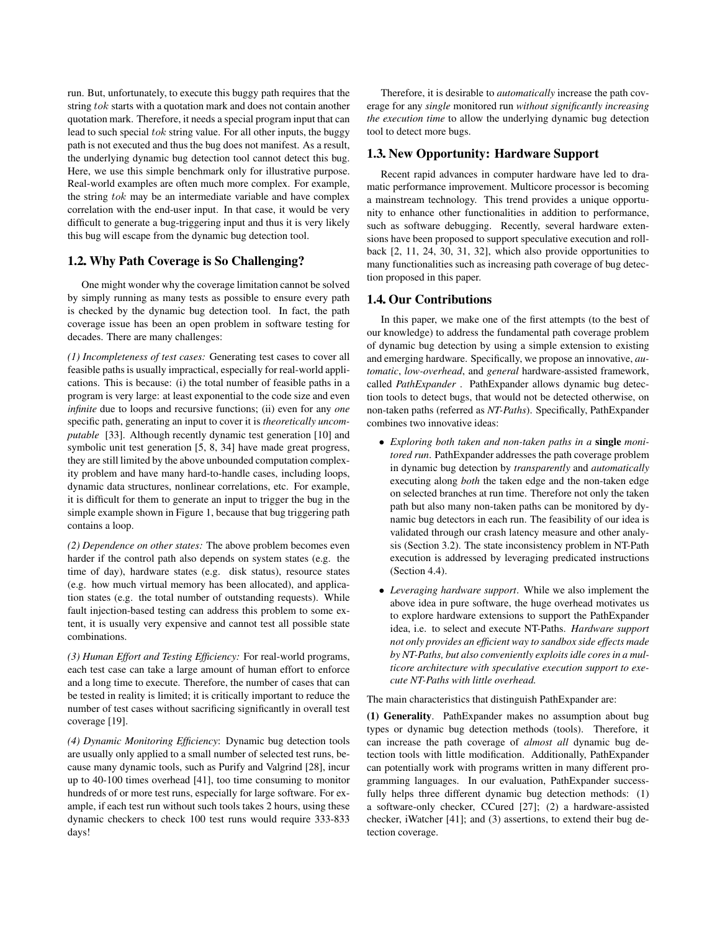run. But, unfortunately, to execute this buggy path requires that the string tok starts with a quotation mark and does not contain another quotation mark. Therefore, it needs a special program input that can lead to such special tok string value. For all other inputs, the buggy path is not executed and thus the bug does not manifest. As a result, the underlying dynamic bug detection tool cannot detect this bug. Here, we use this simple benchmark only for illustrative purpose. Real-world examples are often much more complex. For example, the string  $tok$  may be an intermediate variable and have complex correlation with the end-user input. In that case, it would be very difficult to generate a bug-triggering input and thus it is very likely this bug will escape from the dynamic bug detection tool.

# 1.2. Why Path Coverage is So Challenging?

One might wonder why the coverage limitation cannot be solved by simply running as many tests as possible to ensure every path is checked by the dynamic bug detection tool. In fact, the path coverage issue has been an open problem in software testing for decades. There are many challenges:

*(1) Incompleteness of test cases:* Generating test cases to cover all feasible paths is usually impractical, especially for real-world applications. This is because: (i) the total number of feasible paths in a program is very large: at least exponential to the code size and even *infinite* due to loops and recursive functions; (ii) even for any *one* specific path, generating an input to cover it is *theoretically uncomputable* [33]. Although recently dynamic test generation [10] and symbolic unit test generation [5, 8, 34] have made great progress, they are still limited by the above unbounded computation complexity problem and have many hard-to-handle cases, including loops, dynamic data structures, nonlinear correlations, etc. For example, it is difficult for them to generate an input to trigger the bug in the simple example shown in Figure 1, because that bug triggering path contains a loop.

*(2) Dependence on other states:* The above problem becomes even harder if the control path also depends on system states (e.g. the time of day), hardware states (e.g. disk status), resource states (e.g. how much virtual memory has been allocated), and application states (e.g. the total number of outstanding requests). While fault injection-based testing can address this problem to some extent, it is usually very expensive and cannot test all possible state combinations.

*(3) Human Effort and Testing Efficiency:* For real-world programs, each test case can take a large amount of human effort to enforce and a long time to execute. Therefore, the number of cases that can be tested in reality is limited; it is critically important to reduce the number of test cases without sacrificing significantly in overall test coverage [19].

*(4) Dynamic Monitoring Efficiency*: Dynamic bug detection tools are usually only applied to a small number of selected test runs, because many dynamic tools, such as Purify and Valgrind [28], incur up to 40-100 times overhead [41], too time consuming to monitor hundreds of or more test runs, especially for large software. For example, if each test run without such tools takes 2 hours, using these dynamic checkers to check 100 test runs would require 333-833 days!

Therefore, it is desirable to *automatically* increase the path coverage for any *single* monitored run *without significantly increasing the execution time* to allow the underlying dynamic bug detection tool to detect more bugs.

## 1.3. New Opportunity: Hardware Support

Recent rapid advances in computer hardware have led to dramatic performance improvement. Multicore processor is becoming a mainstream technology. This trend provides a unique opportunity to enhance other functionalities in addition to performance, such as software debugging. Recently, several hardware extensions have been proposed to support speculative execution and rollback [2, 11, 24, 30, 31, 32], which also provide opportunities to many functionalities such as increasing path coverage of bug detection proposed in this paper.

### 1.4. Our Contributions

In this paper, we make one of the first attempts (to the best of our knowledge) to address the fundamental path coverage problem of dynamic bug detection by using a simple extension to existing and emerging hardware. Specifically, we propose an innovative, *automatic*, *low-overhead*, and *general* hardware-assisted framework, called *PathExpander* . PathExpander allows dynamic bug detection tools to detect bugs, that would not be detected otherwise, on non-taken paths (referred as *NT-Paths*). Specifically, PathExpander combines two innovative ideas:

- *Exploring both taken and non-taken paths in a* single *monitored run*. PathExpander addresses the path coverage problem in dynamic bug detection by *transparently* and *automatically* executing along *both* the taken edge and the non-taken edge on selected branches at run time. Therefore not only the taken path but also many non-taken paths can be monitored by dynamic bug detectors in each run. The feasibility of our idea is validated through our crash latency measure and other analysis (Section 3.2). The state inconsistency problem in NT-Path execution is addressed by leveraging predicated instructions (Section 4.4).
- *Leveraging hardware support*. While we also implement the above idea in pure software, the huge overhead motivates us to explore hardware extensions to support the PathExpander idea, i.e. to select and execute NT-Paths. *Hardware support not only provides an efficient way to sandbox side effects made by NT-Paths, but also conveniently exploitsidle cores in a multicore architecture with speculative execution support to execute NT-Paths with little overhead.*

The main characteristics that distinguish PathExpander are:

(1) Generality. PathExpander makes no assumption about bug types or dynamic bug detection methods (tools). Therefore, it can increase the path coverage of *almost all* dynamic bug detection tools with little modification. Additionally, PathExpander can potentially work with programs written in many different programming languages. In our evaluation, PathExpander successfully helps three different dynamic bug detection methods: (1) a software-only checker, CCured [27]; (2) a hardware-assisted checker, iWatcher [41]; and (3) assertions, to extend their bug detection coverage.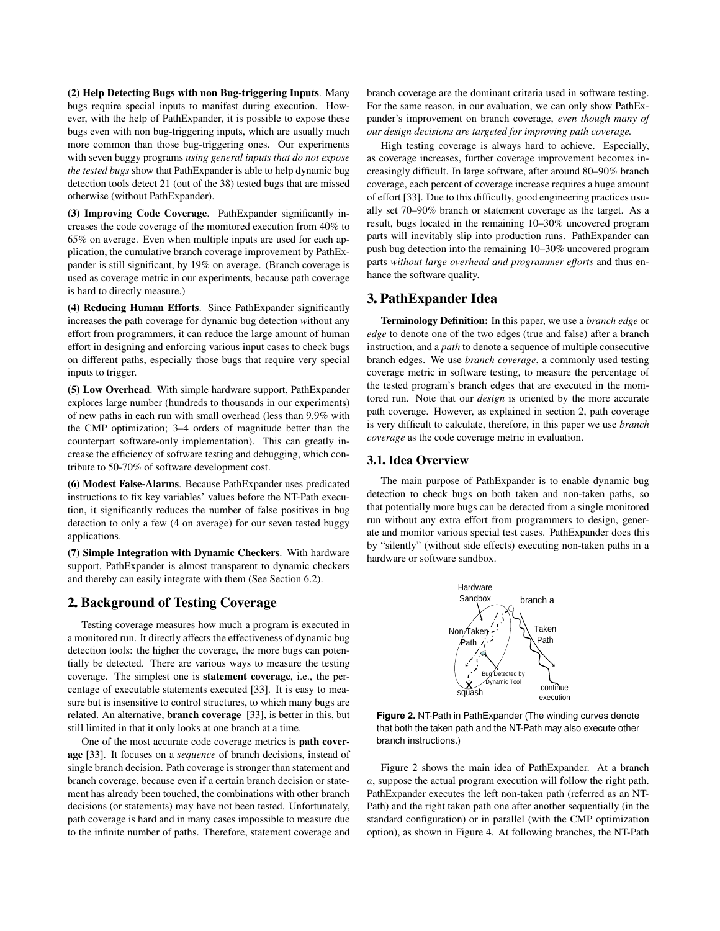(2) Help Detecting Bugs with non Bug-triggering Inputs. Many bugs require special inputs to manifest during execution. However, with the help of PathExpander, it is possible to expose these bugs even with non bug-triggering inputs, which are usually much more common than those bug-triggering ones. Our experiments with seven buggy programs *using general inputs that do not expose the tested bugs* show that PathExpander is able to help dynamic bug detection tools detect 21 (out of the 38) tested bugs that are missed otherwise (without PathExpander).

(3) Improving Code Coverage. PathExpander significantly increases the code coverage of the monitored execution from 40% to 65% on average. Even when multiple inputs are used for each application, the cumulative branch coverage improvement by PathExpander is still significant, by 19% on average. (Branch coverage is used as coverage metric in our experiments, because path coverage is hard to directly measure.)

(4) Reducing Human Efforts. Since PathExpander significantly increases the path coverage for dynamic bug detection *w*ithout any effort from programmers, it can reduce the large amount of human effort in designing and enforcing various input cases to check bugs on different paths, especially those bugs that require very special inputs to trigger.

(5) Low Overhead. With simple hardware support, PathExpander explores large number (hundreds to thousands in our experiments) of new paths in each run with small overhead (less than 9.9% with the CMP optimization; 3–4 orders of magnitude better than the counterpart software-only implementation). This can greatly increase the efficiency of software testing and debugging, which contribute to 50-70% of software development cost.

(6) Modest False-Alarms. Because PathExpander uses predicated instructions to fix key variables' values before the NT-Path execution, it significantly reduces the number of false positives in bug detection to only a few (4 on average) for our seven tested buggy applications.

(7) Simple Integration with Dynamic Checkers. With hardware support, PathExpander is almost transparent to dynamic checkers and thereby can easily integrate with them (See Section 6.2).

# 2. Background of Testing Coverage

Testing coverage measures how much a program is executed in a monitored run. It directly affects the effectiveness of dynamic bug detection tools: the higher the coverage, the more bugs can potentially be detected. There are various ways to measure the testing coverage. The simplest one is statement coverage, i.e., the percentage of executable statements executed [33]. It is easy to measure but is insensitive to control structures, to which many bugs are related. An alternative, branch coverage [33], is better in this, but still limited in that it only looks at one branch at a time.

One of the most accurate code coverage metrics is path coverage [33]. It focuses on a *sequence* of branch decisions, instead of single branch decision. Path coverage is stronger than statement and branch coverage, because even if a certain branch decision or statement has already been touched, the combinations with other branch decisions (or statements) may have not been tested. Unfortunately, path coverage is hard and in many cases impossible to measure due to the infinite number of paths. Therefore, statement coverage and

branch coverage are the dominant criteria used in software testing. For the same reason, in our evaluation, we can only show PathExpander's improvement on branch coverage, *even though many of our design decisions are targeted for improving path coverage.*

High testing coverage is always hard to achieve. Especially, as coverage increases, further coverage improvement becomes increasingly difficult. In large software, after around 80–90% branch coverage, each percent of coverage increase requires a huge amount of effort [33]. Due to this difficulty, good engineering practices usually set 70–90% branch or statement coverage as the target. As a result, bugs located in the remaining 10–30% uncovered program parts will inevitably slip into production runs. PathExpander can push bug detection into the remaining 10–30% uncovered program parts *without large overhead and programmer efforts* and thus enhance the software quality.

# 3. PathExpander Idea

Terminology Definition: In this paper, we use a *branch edge* or *edge* to denote one of the two edges (true and false) after a branch instruction, and a *path* to denote a sequence of multiple consecutive branch edges. We use *branch coverage*, a commonly used testing coverage metric in software testing, to measure the percentage of the tested program's branch edges that are executed in the monitored run. Note that our *design* is oriented by the more accurate path coverage. However, as explained in section 2, path coverage is very difficult to calculate, therefore, in this paper we use *branch coverage* as the code coverage metric in evaluation.

#### 3.1. Idea Overview

The main purpose of PathExpander is to enable dynamic bug detection to check bugs on both taken and non-taken paths, so that potentially more bugs can be detected from a single monitored run without any extra effort from programmers to design, generate and monitor various special test cases. PathExpander does this by "silently" (without side effects) executing non-taken paths in a hardware or software sandbox.



**Figure 2.** NT-Path in PathExpander (The winding curves denote that both the taken path and the NT-Path may also execute other branch instructions.)

Figure 2 shows the main idea of PathExpander. At a branch a, suppose the actual program execution will follow the right path. PathExpander executes the left non-taken path (referred as an NT-Path) and the right taken path one after another sequentially (in the standard configuration) or in parallel (with the CMP optimization option), as shown in Figure 4. At following branches, the NT-Path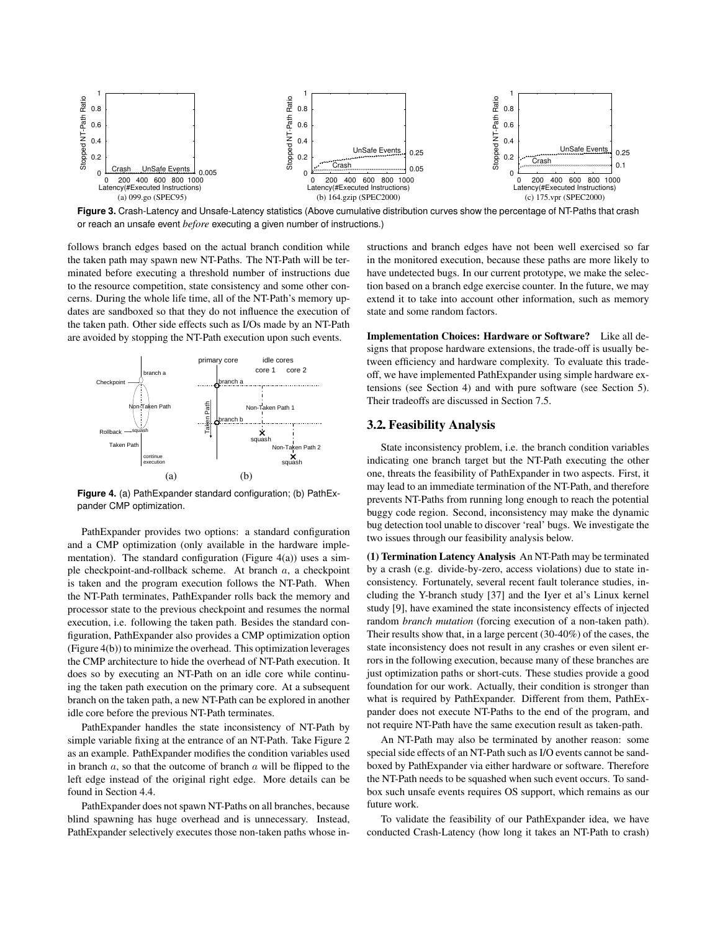

**Figure 3.** Crash-Latency and Unsafe-Latency statistics (Above cumulative distribution curves show the percentage of NT-Paths that crash or reach an unsafe event *before* executing a given number of instructions.)

follows branch edges based on the actual branch condition while the taken path may spawn new NT-Paths. The NT-Path will be terminated before executing a threshold number of instructions due to the resource competition, state consistency and some other concerns. During the whole life time, all of the NT-Path's memory updates are sandboxed so that they do not influence the execution of the taken path. Other side effects such as I/Os made by an NT-Path are avoided by stopping the NT-Path execution upon such events.



**Figure 4.** (a) PathExpander standard configuration; (b) PathExpander CMP optimization.

PathExpander provides two options: a standard configuration and a CMP optimization (only available in the hardware implementation). The standard configuration (Figure 4(a)) uses a simple checkpoint-and-rollback scheme. At branch  $a$ , a checkpoint is taken and the program execution follows the NT-Path. When the NT-Path terminates, PathExpander rolls back the memory and processor state to the previous checkpoint and resumes the normal execution, i.e. following the taken path. Besides the standard configuration, PathExpander also provides a CMP optimization option (Figure 4(b)) to minimize the overhead. This optimization leverages the CMP architecture to hide the overhead of NT-Path execution. It does so by executing an NT-Path on an idle core while continuing the taken path execution on the primary core. At a subsequent branch on the taken path, a new NT-Path can be explored in another idle core before the previous NT-Path terminates.

PathExpander handles the state inconsistency of NT-Path by simple variable fixing at the entrance of an NT-Path. Take Figure 2 as an example. PathExpander modifies the condition variables used in branch  $a$ , so that the outcome of branch  $a$  will be flipped to the left edge instead of the original right edge. More details can be found in Section 4.4.

PathExpander does not spawn NT-Paths on all branches, because blind spawning has huge overhead and is unnecessary. Instead, PathExpander selectively executes those non-taken paths whose in-

structions and branch edges have not been well exercised so far in the monitored execution, because these paths are more likely to have undetected bugs. In our current prototype, we make the selection based on a branch edge exercise counter. In the future, we may extend it to take into account other information, such as memory state and some random factors.

Implementation Choices: Hardware or Software? Like all designs that propose hardware extensions, the trade-off is usually between efficiency and hardware complexity. To evaluate this tradeoff, we have implemented PathExpander using simple hardware extensions (see Section 4) and with pure software (see Section 5). Their tradeoffs are discussed in Section 7.5.

# 3.2. Feasibility Analysis

State inconsistency problem, i.e. the branch condition variables indicating one branch target but the NT-Path executing the other one, threats the feasibility of PathExpander in two aspects. First, it may lead to an immediate termination of the NT-Path, and therefore prevents NT-Paths from running long enough to reach the potential buggy code region. Second, inconsistency may make the dynamic bug detection tool unable to discover 'real' bugs. We investigate the two issues through our feasibility analysis below.

(1) Termination Latency Analysis An NT-Path may be terminated by a crash (e.g. divide-by-zero, access violations) due to state inconsistency. Fortunately, several recent fault tolerance studies, including the Y-branch study [37] and the Iyer et al's Linux kernel study [9], have examined the state inconsistency effects of injected random *branch mutation* (forcing execution of a non-taken path). Their results show that, in a large percent (30-40%) of the cases, the state inconsistency does not result in any crashes or even silent errors in the following execution, because many of these branches are just optimization paths or short-cuts. These studies provide a good foundation for our work. Actually, their condition is stronger than what is required by PathExpander. Different from them, PathExpander does not execute NT-Paths to the end of the program, and not require NT-Path have the same execution result as taken-path.

An NT-Path may also be terminated by another reason: some special side effects of an NT-Path such as I/O events cannot be sandboxed by PathExpander via either hardware or software. Therefore the NT-Path needs to be squashed when such event occurs. To sandbox such unsafe events requires OS support, which remains as our future work.

To validate the feasibility of our PathExpander idea, we have conducted Crash-Latency (how long it takes an NT-Path to crash)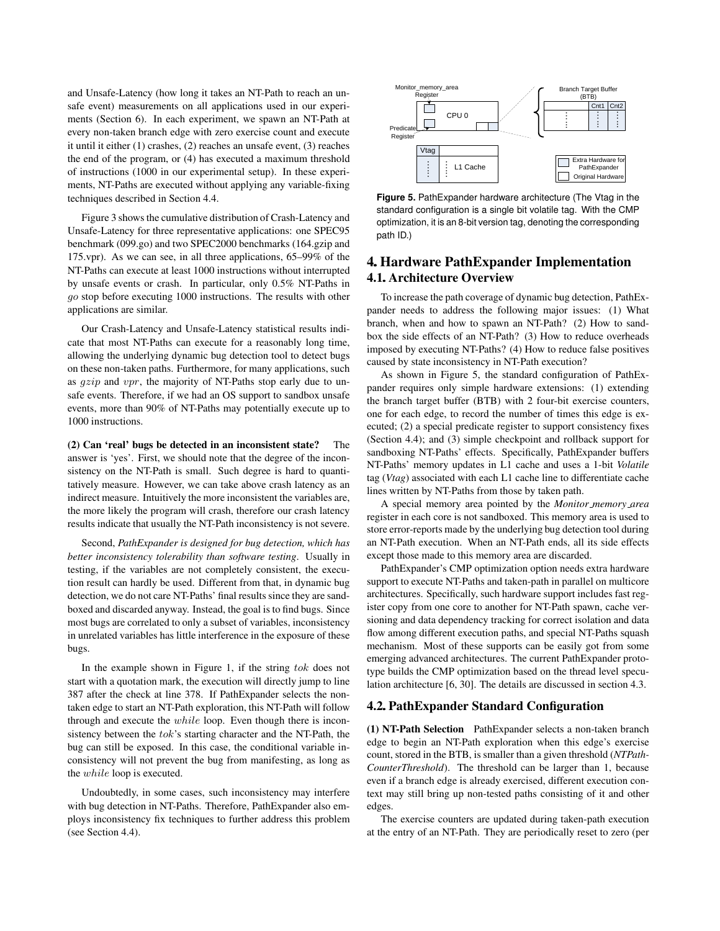and Unsafe-Latency (how long it takes an NT-Path to reach an unsafe event) measurements on all applications used in our experiments (Section 6). In each experiment, we spawn an NT-Path at every non-taken branch edge with zero exercise count and execute it until it either (1) crashes, (2) reaches an unsafe event, (3) reaches the end of the program, or (4) has executed a maximum threshold of instructions (1000 in our experimental setup). In these experiments, NT-Paths are executed without applying any variable-fixing techniques described in Section 4.4.

Figure 3 shows the cumulative distribution of Crash-Latency and Unsafe-Latency for three representative applications: one SPEC95 benchmark (099.go) and two SPEC2000 benchmarks (164.gzip and 175.vpr). As we can see, in all three applications, 65–99% of the NT-Paths can execute at least 1000 instructions without interrupted by unsafe events or crash. In particular, only 0.5% NT-Paths in go stop before executing 1000 instructions. The results with other applications are similar.

Our Crash-Latency and Unsafe-Latency statistical results indicate that most NT-Paths can execute for a reasonably long time, allowing the underlying dynamic bug detection tool to detect bugs on these non-taken paths. Furthermore, for many applications, such as *gzip* and *vpr*, the majority of NT-Paths stop early due to unsafe events. Therefore, if we had an OS support to sandbox unsafe events, more than 90% of NT-Paths may potentially execute up to 1000 instructions.

(2) Can 'real' bugs be detected in an inconsistent state? The answer is 'yes'. First, we should note that the degree of the inconsistency on the NT-Path is small. Such degree is hard to quantitatively measure. However, we can take above crash latency as an indirect measure. Intuitively the more inconsistent the variables are, the more likely the program will crash, therefore our crash latency results indicate that usually the NT-Path inconsistency is not severe.

Second, *PathExpander is designed for bug detection, which has better inconsistency tolerability than software testing*. Usually in testing, if the variables are not completely consistent, the execution result can hardly be used. Different from that, in dynamic bug detection, we do not care NT-Paths' final results since they are sandboxed and discarded anyway. Instead, the goal is to find bugs. Since most bugs are correlated to only a subset of variables, inconsistency in unrelated variables has little interference in the exposure of these bugs.

In the example shown in Figure 1, if the string tok does not start with a quotation mark, the execution will directly jump to line 387 after the check at line 378. If PathExpander selects the nontaken edge to start an NT-Path exploration, this NT-Path will follow through and execute the *while* loop. Even though there is inconsistency between the tok's starting character and the NT-Path, the bug can still be exposed. In this case, the conditional variable inconsistency will not prevent the bug from manifesting, as long as the while loop is executed.

Undoubtedly, in some cases, such inconsistency may interfere with bug detection in NT-Paths. Therefore, PathExpander also employs inconsistency fix techniques to further address this problem (see Section 4.4).



**Figure 5.** PathExpander hardware architecture (The Vtag in the standard configuration is a single bit volatile tag. With the CMP optimization, it is an 8-bit version tag, denoting the corresponding path ID.)

# 4. Hardware PathExpander Implementation 4.1. Architecture Overview

To increase the path coverage of dynamic bug detection, PathExpander needs to address the following major issues: (1) What branch, when and how to spawn an NT-Path? (2) How to sandbox the side effects of an NT-Path? (3) How to reduce overheads imposed by executing NT-Paths? (4) How to reduce false positives caused by state inconsistency in NT-Path execution?

As shown in Figure 5, the standard configuration of PathExpander requires only simple hardware extensions: (1) extending the branch target buffer (BTB) with 2 four-bit exercise counters, one for each edge, to record the number of times this edge is executed; (2) a special predicate register to support consistency fixes (Section 4.4); and (3) simple checkpoint and rollback support for sandboxing NT-Paths' effects. Specifically, PathExpander buffers NT-Paths' memory updates in L1 cache and uses a 1-bit *Volatile* tag (*Vtag*) associated with each L1 cache line to differentiate cache lines written by NT-Paths from those by taken path.

A special memory area pointed by the *Monitor memory area* register in each core is not sandboxed. This memory area is used to store error-reports made by the underlying bug detection tool during an NT-Path execution. When an NT-Path ends, all its side effects except those made to this memory area are discarded.

PathExpander's CMP optimization option needs extra hardware support to execute NT-Paths and taken-path in parallel on multicore architectures. Specifically, such hardware support includes fast register copy from one core to another for NT-Path spawn, cache versioning and data dependency tracking for correct isolation and data flow among different execution paths, and special NT-Paths squash mechanism. Most of these supports can be easily got from some emerging advanced architectures. The current PathExpander prototype builds the CMP optimization based on the thread level speculation architecture [6, 30]. The details are discussed in section 4.3.

#### 4.2. PathExpander Standard Configuration

(1) NT-Path Selection PathExpander selects a non-taken branch edge to begin an NT-Path exploration when this edge's exercise count, stored in the BTB, is smaller than a given threshold (*NTPath-CounterThreshold*). The threshold can be larger than 1, because even if a branch edge is already exercised, different execution context may still bring up non-tested paths consisting of it and other edges.

The exercise counters are updated during taken-path execution at the entry of an NT-Path. They are periodically reset to zero (per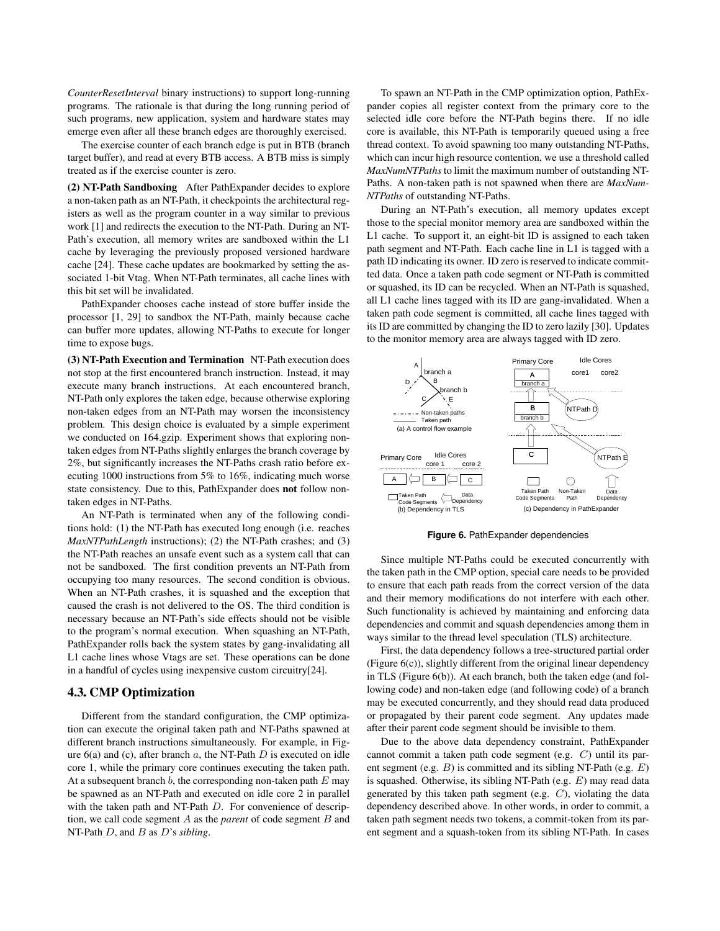*CounterResetInterval* binary instructions) to support long-running programs. The rationale is that during the long running period of such programs, new application, system and hardware states may emerge even after all these branch edges are thoroughly exercised.

The exercise counter of each branch edge is put in BTB (branch target buffer), and read at every BTB access. A BTB miss is simply treated as if the exercise counter is zero.

(2) NT-Path Sandboxing After PathExpander decides to explore a non-taken path as an NT-Path, it checkpoints the architectural registers as well as the program counter in a way similar to previous work [1] and redirects the execution to the NT-Path. During an NT-Path's execution, all memory writes are sandboxed within the L1 cache by leveraging the previously proposed versioned hardware cache [24]. These cache updates are bookmarked by setting the associated 1-bit Vtag. When NT-Path terminates, all cache lines with this bit set will be invalidated.

PathExpander chooses cache instead of store buffer inside the processor [1, 29] to sandbox the NT-Path, mainly because cache can buffer more updates, allowing NT-Paths to execute for longer time to expose bugs.

(3) NT-Path Execution and Termination NT-Path execution does not stop at the first encountered branch instruction. Instead, it may execute many branch instructions. At each encountered branch, NT-Path only explores the taken edge, because otherwise exploring non-taken edges from an NT-Path may worsen the inconsistency problem. This design choice is evaluated by a simple experiment we conducted on 164.gzip. Experiment shows that exploring nontaken edges from NT-Paths slightly enlarges the branch coverage by 2%, but significantly increases the NT-Paths crash ratio before executing 1000 instructions from 5% to 16%, indicating much worse state consistency. Due to this, PathExpander does not follow nontaken edges in NT-Paths.

An NT-Path is terminated when any of the following conditions hold: (1) the NT-Path has executed long enough (i.e. reaches *MaxNTPathLength* instructions); (2) the NT-Path crashes; and (3) the NT-Path reaches an unsafe event such as a system call that can not be sandboxed. The first condition prevents an NT-Path from occupying too many resources. The second condition is obvious. When an NT-Path crashes, it is squashed and the exception that caused the crash is not delivered to the OS. The third condition is necessary because an NT-Path's side effects should not be visible to the program's normal execution. When squashing an NT-Path, PathExpander rolls back the system states by gang-invalidating all L1 cache lines whose Vtags are set. These operations can be done in a handful of cycles using inexpensive custom circuitry[24].

### 4.3. CMP Optimization

Different from the standard configuration, the CMP optimization can execute the original taken path and NT-Paths spawned at different branch instructions simultaneously. For example, in Figure  $6(a)$  and (c), after branch a, the NT-Path  $D$  is executed on idle core 1, while the primary core continues executing the taken path. At a subsequent branch  $b$ , the corresponding non-taken path  $E$  may be spawned as an NT-Path and executed on idle core 2 in parallel with the taken path and NT-Path D. For convenience of description, we call code segment A as the *parent* of code segment B and NT-Path D, and B as D's *sibling*.

To spawn an NT-Path in the CMP optimization option, PathExpander copies all register context from the primary core to the selected idle core before the NT-Path begins there. If no idle core is available, this NT-Path is temporarily queued using a free thread context. To avoid spawning too many outstanding NT-Paths, which can incur high resource contention, we use a threshold called *MaxNumNTPaths* to limit the maximum number of outstanding NT-Paths. A non-taken path is not spawned when there are *MaxNum-NTPaths* of outstanding NT-Paths.

During an NT-Path's execution, all memory updates except those to the special monitor memory area are sandboxed within the L1 cache. To support it, an eight-bit ID is assigned to each taken path segment and NT-Path. Each cache line in L1 is tagged with a path ID indicating its owner. ID zero is reserved to indicate committed data. Once a taken path code segment or NT-Path is committed or squashed, its ID can be recycled. When an NT-Path is squashed, all L1 cache lines tagged with its ID are gang-invalidated. When a taken path code segment is committed, all cache lines tagged with itsID are committed by changing the ID to zero lazily [30]. Updates to the monitor memory area are always tagged with ID zero.



**Figure 6.** PathExpander dependencies

Since multiple NT-Paths could be executed concurrently with the taken path in the CMP option, special care needs to be provided to ensure that each path reads from the correct version of the data and their memory modifications do not interfere with each other. Such functionality is achieved by maintaining and enforcing data dependencies and commit and squash dependencies among them in ways similar to the thread level speculation (TLS) architecture.

First, the data dependency follows a tree-structured partial order (Figure 6(c)), slightly different from the original linear dependency in TLS (Figure 6(b)). At each branch, both the taken edge (and following code) and non-taken edge (and following code) of a branch may be executed concurrently, and they should read data produced or propagated by their parent code segment. Any updates made after their parent code segment should be invisible to them.

Due to the above data dependency constraint, PathExpander cannot commit a taken path code segment (e.g. C) until its parent segment (e.g.  $B$ ) is committed and its sibling NT-Path (e.g.  $E$ ) is squashed. Otherwise, its sibling NT-Path (e.g.  $E$ ) may read data generated by this taken path segment (e.g. C), violating the data dependency described above. In other words, in order to commit, a taken path segment needs two tokens, a commit-token from its parent segment and a squash-token from its sibling NT-Path. In cases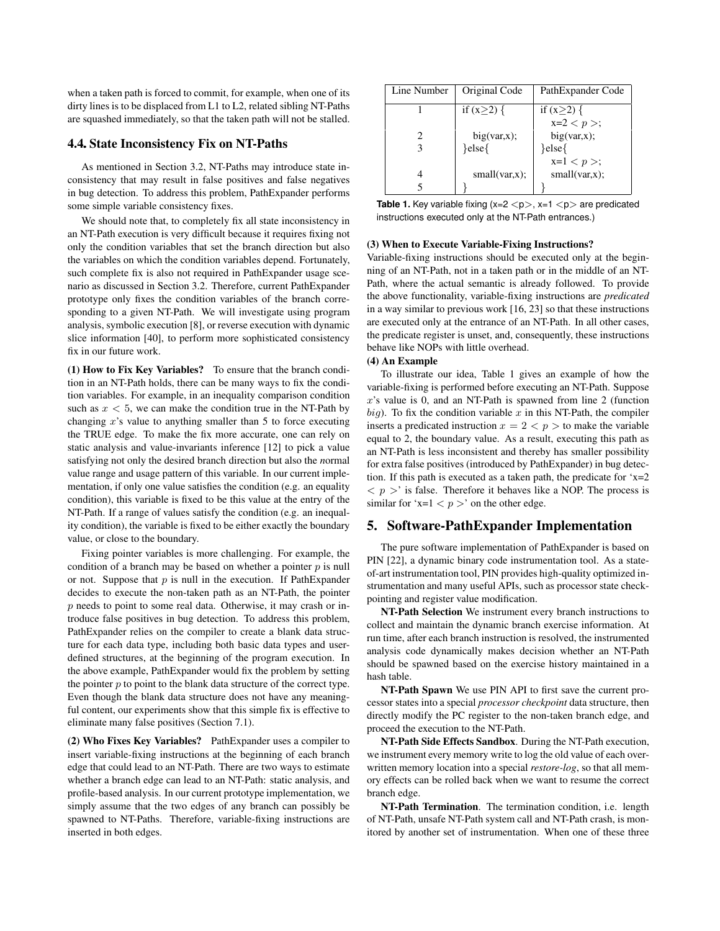when a taken path is forced to commit, for example, when one of its dirty lines is to be displaced from L1 to L2, related sibling NT-Paths are squashed immediately, so that the taken path will not be stalled.

# 4.4. State Inconsistency Fix on NT-Paths

As mentioned in Section 3.2, NT-Paths may introduce state inconsistency that may result in false positives and false negatives in bug detection. To address this problem, PathExpander performs some simple variable consistency fixes.

We should note that, to completely fix all state inconsistency in an NT-Path execution is very difficult because it requires fixing not only the condition variables that set the branch direction but also the variables on which the condition variables depend. Fortunately, such complete fix is also not required in PathExpander usage scenario as discussed in Section 3.2. Therefore, current PathExpander prototype only fixes the condition variables of the branch corresponding to a given NT-Path. We will investigate using program analysis, symbolic execution [8], or reverse execution with dynamic slice information [40], to perform more sophisticated consistency fix in our future work.

(1) How to Fix Key Variables? To ensure that the branch condition in an NT-Path holds, there can be many ways to fix the condition variables. For example, in an inequality comparison condition such as  $x < 5$ , we can make the condition true in the NT-Path by changing  $x$ 's value to anything smaller than  $5$  to force executing the TRUE edge. To make the fix more accurate, one can rely on static analysis and value-invariants inference [12] to pick a value satisfying not only the desired branch direction but also the *n*ormal value range and usage pattern of this variable. In our current implementation, if only one value satisfies the condition (e.g. an equality condition), this variable is fixed to be this value at the entry of the NT-Path. If a range of values satisfy the condition (e.g. an inequality condition), the variable is fixed to be either exactly the boundary value, or close to the boundary.

Fixing pointer variables is more challenging. For example, the condition of a branch may be based on whether a pointer  $p$  is null or not. Suppose that  $p$  is null in the execution. If PathExpander decides to execute the non-taken path as an NT-Path, the pointer p needs to point to some real data. Otherwise, it may crash or introduce false positives in bug detection. To address this problem, PathExpander relies on the compiler to create a blank data structure for each data type, including both basic data types and userdefined structures, at the beginning of the program execution. In the above example, PathExpander would fix the problem by setting the pointer  $p$  to point to the blank data structure of the correct type. Even though the blank data structure does not have any meaningful content, our experiments show that this simple fix is effective to eliminate many false positives (Section 7.1).

(2) Who Fixes Key Variables? PathExpander uses a compiler to insert variable-fixing instructions at the beginning of each branch edge that could lead to an NT-Path. There are two ways to estimate whether a branch edge can lead to an NT-Path: static analysis, and profile-based analysis. In our current prototype implementation, we simply assume that the two edges of any branch can possibly be spawned to NT-Paths. Therefore, variable-fixing instructions are inserted in both edges.

| Line Number | Original Code | PathExpander Code |
|-------------|---------------|-------------------|
|             | if $(x>2)$ {  | if $(x\geq 2)$ {  |
|             |               | $x=2 < p$ ;       |
| 2           | big(var,x);   | big(var,x);       |
|             | }else{        | }else{            |
|             |               | $x=1$ < $p$ >;    |
|             | small(var,x); | small(var,x);     |
|             |               |                   |

**Table 1.** Key variable fixing  $(x=2 < p)$ ,  $x=1 < p$  are predicated instructions executed only at the NT-Path entrances.)

#### (3) When to Execute Variable-Fixing Instructions?

Variable-fixing instructions should be executed only at the beginning of an NT-Path, not in a taken path or in the middle of an NT-Path, where the actual semantic is already followed. To provide the above functionality, variable-fixing instructions are *predicated* in a way similar to previous work [16, 23] so that these instructions are executed only at the entrance of an NT-Path. In all other cases, the predicate register is unset, and, consequently, these instructions behave like NOPs with little overhead.

### (4) An Example

To illustrate our idea, Table 1 gives an example of how the variable-fixing is performed before executing an NT-Path. Suppose  $x$ 's value is 0, and an NT-Path is spawned from line 2 (function  $biq$ ). To fix the condition variable x in this NT-Path, the compiler inserts a predicated instruction  $x = 2 < p >$  to make the variable equal to 2, the boundary value. As a result, executing this path as an NT-Path is less inconsistent and thereby has smaller possibility for extra false positives (introduced by PathExpander) in bug detection. If this path is executed as a taken path, the predicate for  $x=2$  $\langle p \rangle$  is false. Therefore it behaves like a NOP. The process is similar for 'x= $1 < p >$ ' on the other edge.

## 5. Software-PathExpander Implementation

The pure software implementation of PathExpander is based on PIN [22], a dynamic binary code instrumentation tool. As a stateof-art instrumentation tool, PIN provides high-quality optimized instrumentation and many useful APIs, such as processor state checkpointing and register value modification.

NT-Path Selection We instrument every branch instructions to collect and maintain the dynamic branch exercise information. At run time, after each branch instruction is resolved, the instrumented analysis code dynamically makes decision whether an NT-Path should be spawned based on the exercise history maintained in a hash table.

NT-Path Spawn We use PIN API to first save the current processor states into a special *processor checkpoint* data structure, then directly modify the PC register to the non-taken branch edge, and proceed the execution to the NT-Path.

NT-Path Side Effects Sandbox. During the NT-Path execution, we instrument every memory write to log the old value of each overwritten memory location into a special *restore-log*, so that all memory effects can be rolled back when we want to resume the correct branch edge.

NT-Path Termination. The termination condition, i.e. length of NT-Path, unsafe NT-Path system call and NT-Path crash, is monitored by another set of instrumentation. When one of these three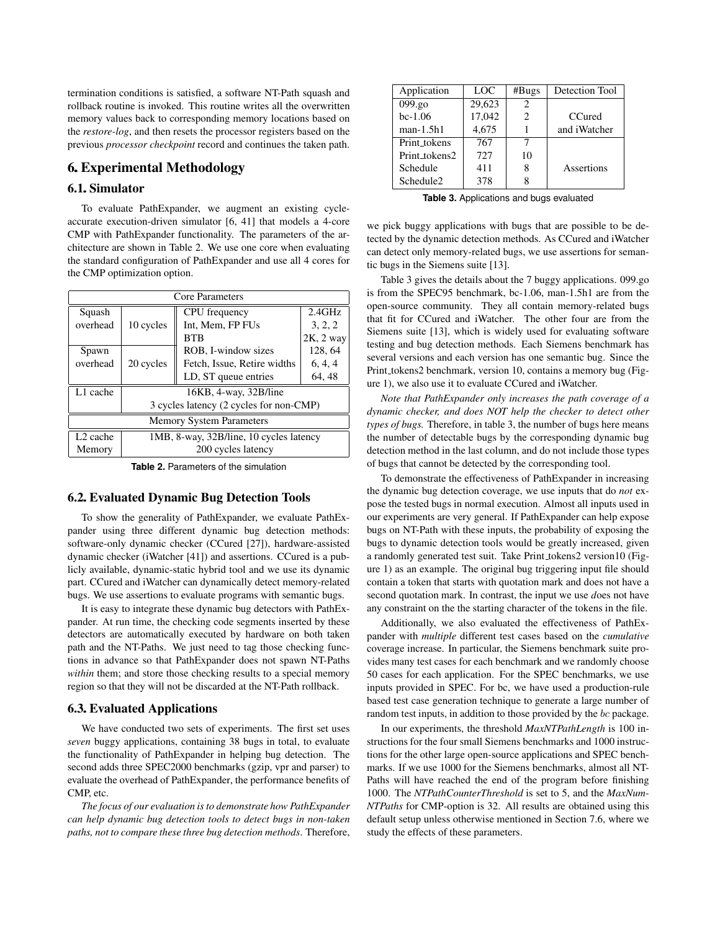termination conditions is satisfied, a software NT-Path squash and rollback routine is invoked. This routine writes all the overwritten memory values back to corresponding memory locations based on the *restore-log*, and then resets the processor registers based on the previous *processor checkpoint* record and continues the taken path.

# 6. Experimental Methodology

# 6.1. Simulator

To evaluate PathExpander, we augment an existing cycleaccurate execution-driven simulator [6, 41] that models a 4-core CMP with PathExpander functionality. The parameters of the architecture are shown in Table 2. We use one core when evaluating the standard configuration of PathExpander and use all 4 cores for the CMP optimization option.

| Core Parameters                 |                                         |                             |                |  |  |
|---------------------------------|-----------------------------------------|-----------------------------|----------------|--|--|
| Squash                          |                                         | CPU frequency               | $2.4$ GHz      |  |  |
| overhead                        | Int, Mem, FP FUs<br>10 cycles           |                             | 3, 2, 2        |  |  |
|                                 |                                         | <b>BTB</b>                  | $2K$ , $2$ way |  |  |
| Spawn                           |                                         | ROB, I-window sizes         | 128, 64        |  |  |
| overhead                        | 20 cycles                               | Fetch, Issue, Retire widths | 6, 4, 4        |  |  |
|                                 |                                         | LD, ST queue entries        | 64, 48         |  |  |
| L1 cache                        | 16KB, 4-way, 32B/line                   |                             |                |  |  |
|                                 | 3 cycles latency (2 cycles for non-CMP) |                             |                |  |  |
| <b>Memory System Parameters</b> |                                         |                             |                |  |  |
| L <sub>2</sub> cache            | 1MB, 8-way, 32B/line, 10 cycles latency |                             |                |  |  |
| Memory                          | 200 cycles latency                      |                             |                |  |  |

**Table 2.** Parameters of the simulation

## 6.2. Evaluated Dynamic Bug Detection Tools

To show the generality of PathExpander, we evaluate PathExpander using three different dynamic bug detection methods: software-only dynamic checker (CCured [27]), hardware-assisted dynamic checker (iWatcher [41]) and assertions. CCured is a publicly available, dynamic-static hybrid tool and we use its dynamic part. CCured and iWatcher can dynamically detect memory-related bugs. We use assertions to evaluate programs with semantic bugs.

It is easy to integrate these dynamic bug detectors with PathExpander. At run time, the checking code segments inserted by these detectors are automatically executed by hardware on both taken path and the NT-Paths. We just need to tag those checking functions in advance so that PathExpander does not spawn NT-Paths *within* them; and store those checking results to a special memory region so that they will not be discarded at the NT-Path rollback.

### 6.3. Evaluated Applications

We have conducted two sets of experiments. The first set uses *seven* buggy applications, containing 38 bugs in total, to evaluate the functionality of PathExpander in helping bug detection. The second adds three SPEC2000 benchmarks (gzip, vpr and parser) to evaluate the overhead of PathExpander, the performance benefits of CMP, etc.

*The focus of our evaluation is to demonstrate how PathExpander can help dynamic bug detection tools to detect bugs in non-taken paths, not to compare these three bug detection methods*. Therefore,

| Application           | LOC    | #Bugs | Detection Tool |
|-----------------------|--------|-------|----------------|
| 099.go                | 29,623 | 2     |                |
| $bc-1.06$             | 17,042 | 2     | CCured         |
| $man-1.5h1$           | 4,675  |       | and iWatcher   |
| Print_tokens          | 767    |       |                |
| Print_tokens2         | 727    | 10    |                |
| Schedule              | 411    | 8     | Assertions     |
| Schedule <sub>2</sub> | 378    |       |                |

**Table 3.** Applications and bugs evaluated

we pick buggy applications with bugs that are possible to be detected by the dynamic detection methods. As CCured and iWatcher can detect only memory-related bugs, we use assertions for semantic bugs in the Siemens suite [13].

Table 3 gives the details about the 7 buggy applications. 099.go is from the SPEC95 benchmark, bc-1.06, man-1.5h1 are from the open-source community. They all contain memory-related bugs that fit for CCured and iWatcher. The other four are from the Siemens suite [13], which is widely used for evaluating software testing and bug detection methods. Each Siemens benchmark has several versions and each version has one semantic bug. Since the Print tokens2 benchmark, version 10, contains a memory bug (Figure 1), we also use it to evaluate CCured and iWatcher.

*Note that PathExpander only increases the path coverage of a dynamic checker, and does NOT help the checker to detect other types of bugs.* Therefore, in table 3, the number of bugs here means the number of detectable bugs by the corresponding dynamic bug detection method in the last column, and do not include those types of bugs that cannot be detected by the corresponding tool.

To demonstrate the effectiveness of PathExpander in increasing the dynamic bug detection coverage, we use inputs that do *not* expose the tested bugs in normal execution. Almost all inputs used in our experiments are very general. If PathExpander can help expose bugs on NT-Path with these inputs, the probability of exposing the bugs to dynamic detection tools would be greatly increased, given a randomly generated test suit. Take Print tokens2 version10 (Figure 1) as an example. The original bug triggering input file should contain a token that starts with quotation mark and does not have a second quotation mark. In contrast, the input we use *d*oes not have any constraint on the the starting character of the tokens in the file.

Additionally, we also evaluated the effectiveness of PathExpander with *multiple* different test cases based on the *cumulative* coverage increase. In particular, the Siemens benchmark suite provides many test cases for each benchmark and we randomly choose 50 cases for each application. For the SPEC benchmarks, we use inputs provided in SPEC. For bc, we have used a production-rule based test case generation technique to generate a large number of random test inputs, in addition to those provided by the bc package.

In our experiments, the threshold *MaxNTPathLength* is 100 instructions for the four small Siemens benchmarks and 1000 instructions for the other large open-source applications and SPEC benchmarks. If we use 1000 for the Siemens benchmarks, almost all NT-Paths will have reached the end of the program before finishing 1000. The *NTPathCounterThreshold* is set to 5, and the *MaxNum-NTPaths* for CMP-option is 32. All results are obtained using this default setup unless otherwise mentioned in Section 7.6, where we study the effects of these parameters.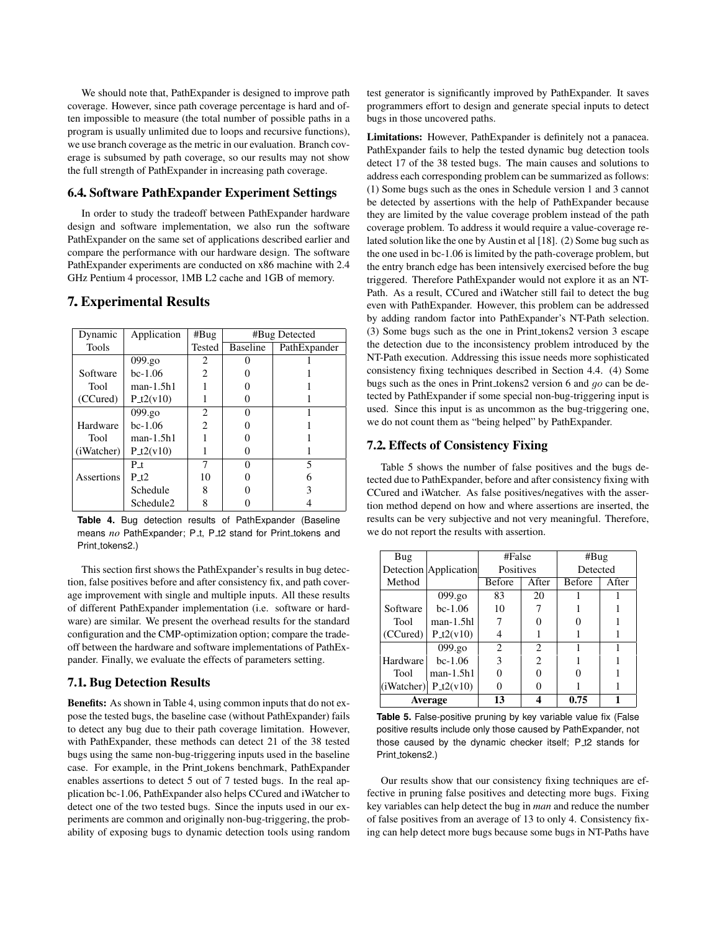We should note that, PathExpander is designed to improve path coverage. However, since path coverage percentage is hard and often impossible to measure (the total number of possible paths in a program is usually unlimited due to loops and recursive functions), we use branch coverage as the metric in our evaluation. Branch coverage is subsumed by path coverage, so our results may not show the full strength of PathExpander in increasing path coverage.

# 6.4. Software PathExpander Experiment Settings

In order to study the tradeoff between PathExpander hardware design and software implementation, we also run the software PathExpander on the same set of applications described earlier and compare the performance with our hardware design. The software PathExpander experiments are conducted on x86 machine with 2.4 GHz Pentium 4 processor, 1MB L2 cache and 1GB of memory.

# 7. Experimental Results

| Dynamic             | Application   | #Bug           | #Bug Detected     |              |  |
|---------------------|---------------|----------------|-------------------|--------------|--|
| Tools               |               | Tested         | <b>Baseline</b>   | PathExpander |  |
|                     | 099.go        | 2              |                   |              |  |
| Software            | $bc-1.06$     | $\overline{c}$ |                   |              |  |
| Tool                | $man-1.5h1$   |                |                   |              |  |
| (CCured)            | $P_{12}(v10)$ |                | $\mathbf{\Omega}$ |              |  |
|                     | 099.go        | 2              | 0                 |              |  |
| Hardware            | $bc-1.06$     | $\overline{c}$ |                   |              |  |
| Tool                | $man-1.5h1$   |                |                   |              |  |
| ( <i>i</i> Watcher) | $P_{t2}(v10)$ |                | $\mathbf{\Omega}$ |              |  |
|                     | P t           | 7              | 0                 | 5            |  |
| Assertions          | $P_t2$        | 10             |                   |              |  |
|                     | Schedule      | 8              |                   |              |  |
|                     | Schedule2     | 8              |                   |              |  |

**Table 4.** Bug detection results of PathExpander (Baseline means *no* PathExpander; P t, P t2 stand for Print tokens and Print tokens2.)

This section first shows the PathExpander's results in bug detection, false positives before and after consistency fix, and path coverage improvement with single and multiple inputs. All these results of different PathExpander implementation (i.e. software or hardware) are similar. We present the overhead results for the standard configuration and the CMP-optimization option; compare the tradeoff between the hardware and software implementations of PathExpander. Finally, we evaluate the effects of parameters setting.

# 7.1. Bug Detection Results

Benefits: As shown in Table 4, using common inputs that do not expose the tested bugs, the baseline case (without PathExpander) fails to detect any bug due to their path coverage limitation. However, with PathExpander, these methods can detect 21 of the 38 tested bugs using the same non-bug-triggering inputs used in the baseline case. For example, in the Print tokens benchmark, PathExpander enables assertions to detect 5 out of 7 tested bugs. In the real application bc-1.06, PathExpander also helps CCured and iWatcher to detect one of the two tested bugs. Since the inputs used in our experiments are common and originally non-bug-triggering, the probability of exposing bugs to dynamic detection tools using random

test generator is significantly improved by PathExpander. It saves programmers effort to design and generate special inputs to detect bugs in those uncovered paths.

Limitations: However, PathExpander is definitely not a panacea. PathExpander fails to help the tested dynamic bug detection tools detect 17 of the 38 tested bugs. The main causes and solutions to address each corresponding problem can be summarized as follows: (1) Some bugs such as the ones in Schedule version 1 and 3 cannot be detected by assertions with the help of PathExpander because they are limited by the value coverage problem instead of the path coverage problem. To address it would require a value-coverage related solution like the one by Austin et al [18]. (2) Some bug such as the one used in bc-1.06 is limited by the path-coverage problem, but the entry branch edge has been intensively exercised before the bug triggered. Therefore PathExpander would not explore it as an NT-Path. As a result, CCured and iWatcher still fail to detect the bug even with PathExpander. However, this problem can be addressed by adding random factor into PathExpander's NT-Path selection. (3) Some bugs such as the one in Print tokens2 version 3 escape the detection due to the inconsistency problem introduced by the NT-Path execution. Addressing this issue needs more sophisticated consistency fixing techniques described in Section 4.4. (4) Some bugs such as the ones in Print tokens2 version 6 and go can be detected by PathExpander if some special non-bug-triggering input is used. Since this input is as uncommon as the bug-triggering one, we do not count them as "being helped" by PathExpander.

### 7.2. Effects of Consistency Fixing

Table 5 shows the number of false positives and the bugs detected due to PathExpander, before and after consistency fixing with CCured and iWatcher. As false positives/negatives with the assertion method depend on how and where assertions are inserted, the results can be very subjective and not very meaningful. Therefore, we do not report the results with assertion.

| Bug        |                       | #False         |                | #Bug     |       |
|------------|-----------------------|----------------|----------------|----------|-------|
|            | Detection Application | Positives      |                | Detected |       |
| Method     |                       | Before         | After          | Before   | After |
|            | 099.go                | 83             | 20             |          |       |
| Software   | $bc-1.06$             | 10             |                |          |       |
| Tool       | $man-1.5hl$           |                |                |          |       |
| (CCured)   | $P_{12}(v10)$         |                |                |          |       |
|            | 099.go                | $\overline{c}$ | $\mathfrak{D}$ |          |       |
| Hardware   | $bc-1.06$             |                | 2              |          |       |
| Tool       | $man-1.5h1$           |                |                |          |       |
| (iWatcher) | $P_{t2}(v10)$         |                | 0              |          |       |
| Average    |                       | 13             |                | 0.75     |       |

**Table 5.** False-positive pruning by key variable value fix (False positive results include only those caused by PathExpander, not those caused by the dynamic checker itself; P t2 stands for Print tokens2.)

Our results show that our consistency fixing techniques are effective in pruning false positives and detecting more bugs. Fixing key variables can help detect the bug in *man* and reduce the number of false positives from an average of 13 to only 4. Consistency fixing can help detect more bugs because some bugs in NT-Paths have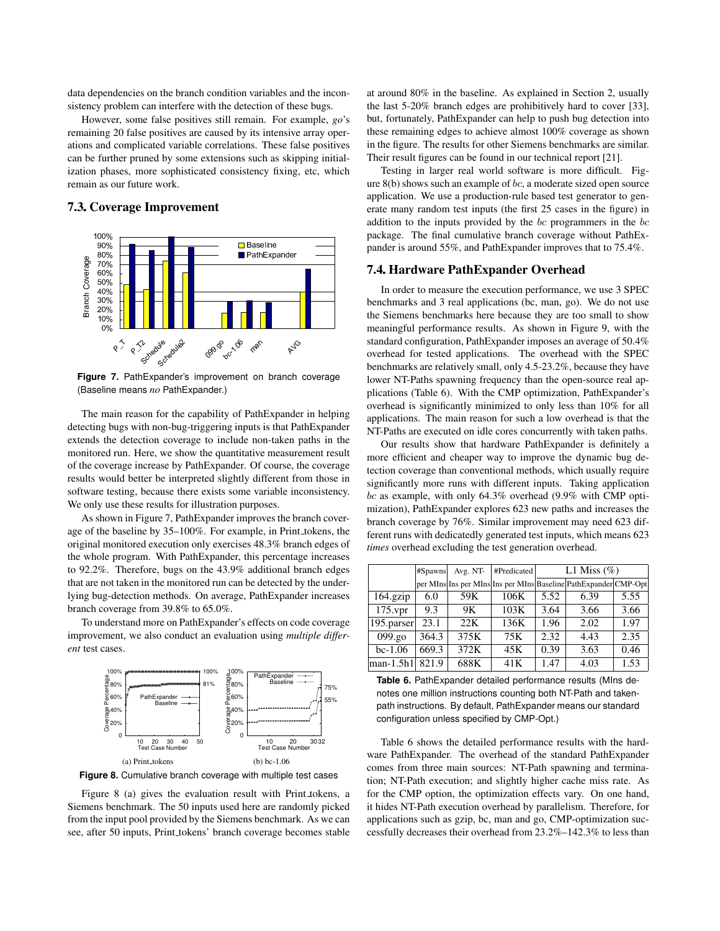data dependencies on the branch condition variables and the inconsistency problem can interfere with the detection of these bugs.

However, some false positives still remain. For example, *go*'s remaining 20 false positives are caused by its intensive array operations and complicated variable correlations. These false positives can be further pruned by some extensions such as skipping initialization phases, more sophisticated consistency fixing, etc, which remain as our future work.

#### 7.3. Coverage Improvement



**Figure 7.** PathExpander's improvement on branch coverage (Baseline means *no* PathExpander.)

The main reason for the capability of PathExpander in helping detecting bugs with non-bug-triggering inputs is that PathExpander extends the detection coverage to include non-taken paths in the monitored run. Here, we show the quantitative measurement result of the coverage increase by PathExpander. Of course, the coverage results would better be interpreted slightly different from those in software testing, because there exists some variable inconsistency. We only use these results for illustration purposes.

As shown in Figure 7, PathExpander improves the branch coverage of the baseline by 35–100%. For example, in Print tokens, the original monitored execution only exercises 48.3% branch edges of the whole program. With PathExpander, this percentage increases to 92.2%. Therefore, bugs on the 43.9% additional branch edges that are not taken in the monitored run can be detected by the underlying bug-detection methods. On average, PathExpander increases branch coverage from 39.8% to 65.0%.

To understand more on PathExpander's effects on code coverage improvement, we also conduct an evaluation using *multiple different* test cases.



**Figure 8.** Cumulative branch coverage with multiple test cases

Figure 8 (a) gives the evaluation result with Print tokens, a Siemens benchmark. The 50 inputs used here are randomly picked from the input pool provided by the Siemens benchmark. As we can see, after 50 inputs, Print tokens' branch coverage becomes stable

at around 80% in the baseline. As explained in Section 2, usually the last 5-20% branch edges are prohibitively hard to cover [33], but, fortunately, PathExpander can help to push bug detection into these remaining edges to achieve almost 100% coverage as shown in the figure. The results for other Siemens benchmarks are similar. Their result figures can be found in our technical report [21].

Testing in larger real world software is more difficult. Figure  $8(b)$  shows such an example of  $bc$ , a moderate sized open source application. We use a production-rule based test generator to generate many random test inputs (the first 25 cases in the figure) in addition to the inputs provided by the  $bc$  programmers in the  $bc$ package. The final cumulative branch coverage without PathExpander is around 55%, and PathExpander improves that to 75.4%.

### 7.4. Hardware PathExpander Overhead

In order to measure the execution performance, we use 3 SPEC benchmarks and 3 real applications (bc, man, go). We do not use the Siemens benchmarks here because they are too small to show meaningful performance results. As shown in Figure 9, with the standard configuration, PathExpander imposes an average of 50.4% overhead for tested applications. The overhead with the SPEC benchmarks are relatively small, only 4.5-23.2%, because they have lower NT-Paths spawning frequency than the open-source real applications (Table 6). With the CMP optimization, PathExpander's overhead is significantly minimized to only less than 10% for all applications. The main reason for such a low overhead is that the NT-Paths are executed on idle cores concurrently with taken paths.

Our results show that hardware PathExpander is definitely a more efficient and cheaper way to improve the dynamic bug detection coverage than conventional methods, which usually require significantly more runs with different inputs. Taking application bc as example, with only 64.3% overhead (9.9% with CMP optimization), PathExpander explores 623 new paths and increases the branch coverage by 76%. Similar improvement may need 623 different runs with dedicatedly generated test inputs, which means 623 *times* overhead excluding the test generation overhead.

|             | #Spawns | Avg. NT- | #Predicated | L1 Miss $(\%)$ |                                                                  |      |
|-------------|---------|----------|-------------|----------------|------------------------------------------------------------------|------|
|             |         |          |             |                | per MIns Ins per MIns Ins per MIns Baseline PathExpander CMP-Opt |      |
| $164$ .gzip | 6.0     | 59K      | 106K        | 5.52           | 6.39                                                             | 5.55 |
| $175$ .vpr  | 9.3     | 9K       | 103K        | 3.64           | 3.66                                                             | 3.66 |
| 195.parser  | 23.1    | 22K      | 136K        | 1.96           | 2.02                                                             | 1.97 |
| 099.go      | 364.3   | 375K     | 75K         | 2.32           | 4.43                                                             | 2.35 |
| $bc-1.06$   | 669.3   | 372K     | 45K         | 0.39           | 3.63                                                             | 0.46 |
| $man-1.5h1$ | 821.9   | 688K     | 41K         | 1.47           | 4.03                                                             | 1.53 |

**Table 6.** PathExpander detailed performance results (MIns denotes one million instructions counting both NT-Path and takenpath instructions. By default, PathExpander means our standard configuration unless specified by CMP-Opt.)

Table 6 shows the detailed performance results with the hardware PathExpander. The overhead of the standard PathExpander comes from three main sources: NT-Path spawning and termination; NT-Path execution; and slightly higher cache miss rate. As for the CMP option, the optimization effects vary. On one hand, it hides NT-Path execution overhead by parallelism. Therefore, for applications such as gzip, bc, man and go, CMP-optimization successfully decreases their overhead from 23.2%–142.3% to less than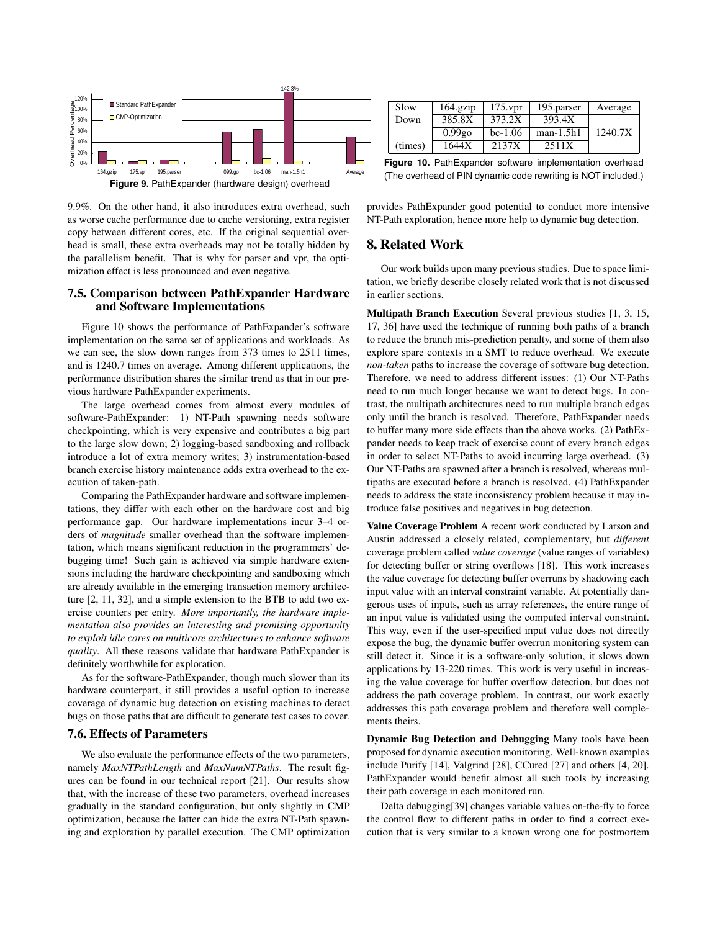

9.9%. On the other hand, it also introduces extra overhead, such as worse cache performance due to cache versioning, extra register copy between different cores, etc. If the original sequential overhead is small, these extra overheads may not be totally hidden by the parallelism benefit. That is why for parser and vpr, the optimization effect is less pronounced and even negative.

#### 7.5. Comparison between PathExpander Hardware and Software Implementations

Figure 10 shows the performance of PathExpander's software implementation on the same set of applications and workloads. As we can see, the slow down ranges from 373 times to 2511 times, and is 1240.7 times on average. Among different applications, the performance distribution shares the similar trend as that in our previous hardware PathExpander experiments.

The large overhead comes from almost every modules of software-PathExpander: 1) NT-Path spawning needs software checkpointing, which is very expensive and contributes a big part to the large slow down; 2) logging-based sandboxing and rollback introduce a lot of extra memory writes; 3) instrumentation-based branch exercise history maintenance adds extra overhead to the execution of taken-path.

Comparing the PathExpander hardware and software implementations, they differ with each other on the hardware cost and big performance gap. Our hardware implementations incur 3–4 orders of *magnitude* smaller overhead than the software implementation, which means significant reduction in the programmers' debugging time! Such gain is achieved via simple hardware extensions including the hardware checkpointing and sandboxing which are already available in the emerging transaction memory architecture [2, 11, 32], and a simple extension to the BTB to add two exercise counters per entry. *More importantly, the hardware implementation also provides an interesting and promising opportunity to exploit idle cores on multicore architectures to enhance software quality*. All these reasons validate that hardware PathExpander is definitely worthwhile for exploration.

As for the software-PathExpander, though much slower than its hardware counterpart, it still provides a useful option to increase coverage of dynamic bug detection on existing machines to detect bugs on those paths that are difficult to generate test cases to cover.

#### 7.6. Effects of Parameters

We also evaluate the performance effects of the two parameters, namely *MaxNTPathLength* and *MaxNumNTPaths*. The result figures can be found in our technical report [21]. Our results show that, with the increase of these two parameters, overhead increases gradually in the standard configuration, but only slightly in CMP optimization, because the latter can hide the extra NT-Path spawning and exploration by parallel execution. The CMP optimization

| Slow    | $164$ .gzip | $175$ . vpr | 195.parser  | Average |
|---------|-------------|-------------|-------------|---------|
| Down    | 385.8X      | 373.2X      | 393.4X      |         |
|         | $0.99g$ o   | $bc-1.06$   | $man-1.5h1$ | 1240.7X |
| (times) | 1644X       | 2137X       | 2511X       |         |

**Figure 10.** PathExpander software implementation overhead (The overhead of PIN dynamic code rewriting is NOT included.)

provides PathExpander good potential to conduct more intensive NT-Path exploration, hence more help to dynamic bug detection.

## 8. Related Work

Our work builds upon many previous studies. Due to space limitation, we briefly describe closely related work that is not discussed in earlier sections.

Multipath Branch Execution Several previous studies [1, 3, 15, 17, 36] have used the technique of running both paths of a branch to reduce the branch mis-prediction penalty, and some of them also explore spare contexts in a SMT to reduce overhead. We execute *non-taken* paths to increase the coverage of software bug detection. Therefore, we need to address different issues: (1) Our NT-Paths need to run much longer because we want to detect bugs. In contrast, the multipath architectures need to run multiple branch edges only until the branch is resolved. Therefore, PathExpander needs to buffer many more side effects than the above works. (2) PathExpander needs to keep track of exercise count of every branch edges in order to select NT-Paths to avoid incurring large overhead. (3) Our NT-Paths are spawned after a branch is resolved, whereas multipaths are executed before a branch is resolved. (4) PathExpander needs to address the state inconsistency problem because it may introduce false positives and negatives in bug detection.

Value Coverage Problem A recent work conducted by Larson and Austin addressed a closely related, complementary, but *different* coverage problem called *value coverage* (value ranges of variables) for detecting buffer or string overflows [18]. This work increases the value coverage for detecting buffer overruns by shadowing each input value with an interval constraint variable. At potentially dangerous uses of inputs, such as array references, the entire range of an input value is validated using the computed interval constraint. This way, even if the user-specified input value does not directly expose the bug, the dynamic buffer overrun monitoring system can still detect it. Since it is a software-only solution, it slows down applications by 13-220 times. This work is very useful in increasing the value coverage for buffer overflow detection, but does not address the path coverage problem. In contrast, our work exactly addresses this path coverage problem and therefore well complements theirs.

Dynamic Bug Detection and Debugging Many tools have been proposed for dynamic execution monitoring. Well-known examples include Purify [14], Valgrind [28], CCured [27] and others [4, 20]. PathExpander would benefit almost all such tools by increasing their path coverage in each monitored run.

Delta debugging[39] changes variable values on-the-fly to force the control flow to different paths in order to find a correct execution that is very similar to a known wrong one for postmortem